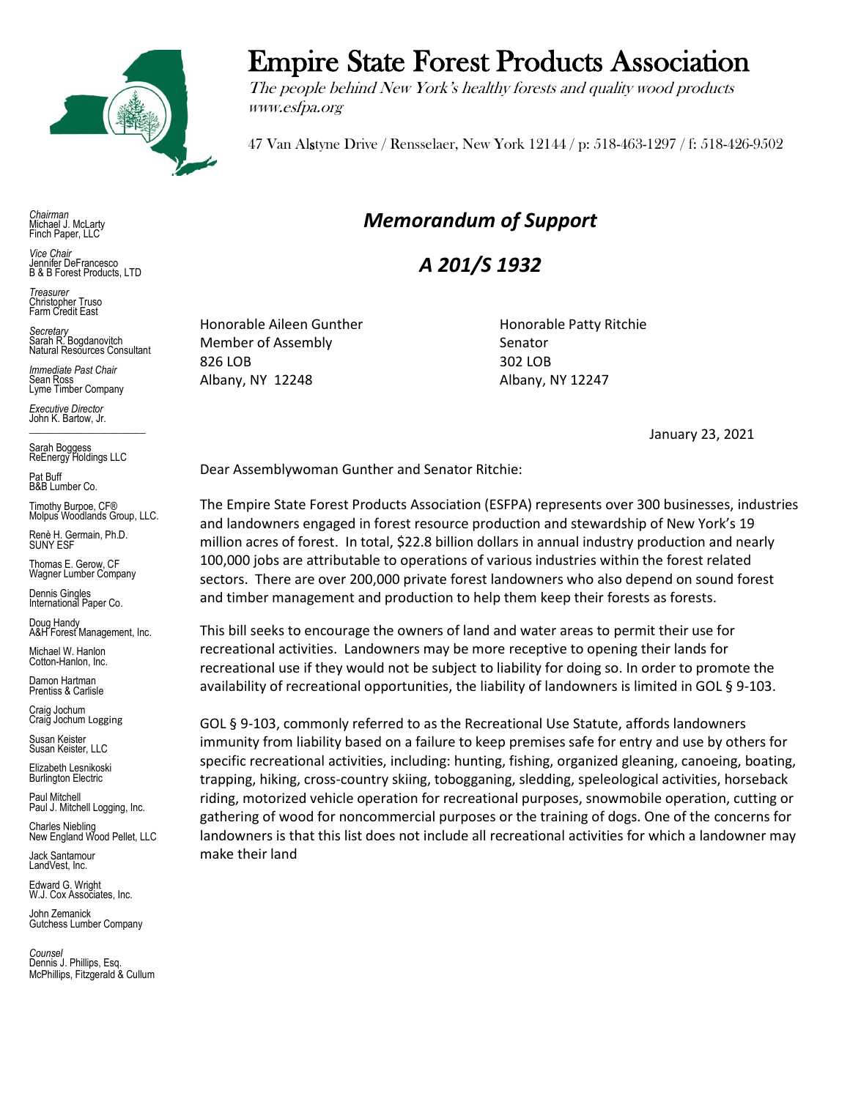

*Chairman* Michael J. McLarty Finch Paper, LLC

*Vice Chair* Jennifer DeFrancesco B & B Forest Products, LTD

*Treasurer* Christopher Truso Farm Credit East

*Secretary* Sarah R. Bogdanovitch Natural Resources Consultant

*Immediate Past Chair* Sean Ross Lyme Timber Company

*Executive Director* John K. Bartow, Jr.  $\mathcal{L}_\text{max}$  , we can also the set of the set of the set of the set of the set of the set of the set of the set of the set of the set of the set of the set of the set of the set of the set of the set of the set of the se

Sarah Boggess ReEnergy Holdings LLC

Pat Buff B&B Lumber Co.

Timothy Burpoe, CF® Molpus Woodlands Group, LLC.

Renè H. Germain, Ph.D. SUNY ESF

Thomas E. Gerow, CF Wagner Lumber Company

Dennis Gingles International Paper Co.

Doug Handy A&H Forest Management, Inc.

Michael W. Hanlon Cotton-Hanlon, Inc.

Damon Hartman Prentiss & Carlisle

Craig Jochum Craig Jochum Logging

Susan Keister Susan Keister, LLC

Elizabeth Lesnikoski **Burlington Electric** 

Paul Mitchell Paul J. Mitchell Logging, Inc.

Charles Niebling New England Wood Pellet, LLC

Jack Santamour LandVest, Inc.

Edward G. Wright W.J. Cox Associates, Inc.

John Zemanick Gutchess Lumber Company

*Counsel* Dennis J. Phillips, Esq. McPhillips, Fitzgerald & Cullum

## Empire State Forest Products Association

The people behind New York's healthy forests and quality wood products www.esfpa.org

47 Van Alstyne Drive / Rensselaer, New York 12144 / p: 518-463-1297 / f: 518-426-9502

## *Memorandum of Support*

*A 201/S 1932*

Honorable Aileen Gunther Honorable Patty Ritchie Member of Assembly Senator 826 LOB 302 LOB Albany, NY 12248 Albany, NY 12247

January 23, 2021

Dear Assemblywoman Gunther and Senator Ritchie:

The Empire State Forest Products Association (ESFPA) represents over 300 businesses, industries and landowners engaged in forest resource production and stewardship of New York's 19 million acres of forest. In total, \$22.8 billion dollars in annual industry production and nearly 100,000 jobs are attributable to operations of various industries within the forest related sectors. There are over 200,000 private forest landowners who also depend on sound forest and timber management and production to help them keep their forests as forests.

This bill seeks to encourage the owners of land and water areas to permit their use for recreational activities. Landowners may be more receptive to opening their lands for recreational use if they would not be subject to liability for doing so. In order to promote the availability of recreational opportunities, the liability of landowners is limited in GOL § 9-103.

GOL § 9-103, commonly referred to as the Recreational Use Statute, affords landowners immunity from liability based on a failure to keep premises safe for entry and use by others for specific recreational activities, including: hunting, fishing, organized gleaning, canoeing, boating, trapping, hiking, cross-country skiing, tobogganing, sledding, speleological activities, horseback riding, motorized vehicle operation for recreational purposes, snowmobile operation, cutting or gathering of wood for noncommercial purposes or the training of dogs. One of the concerns for landowners is that this list does not include all recreational activities for which a landowner may make their land